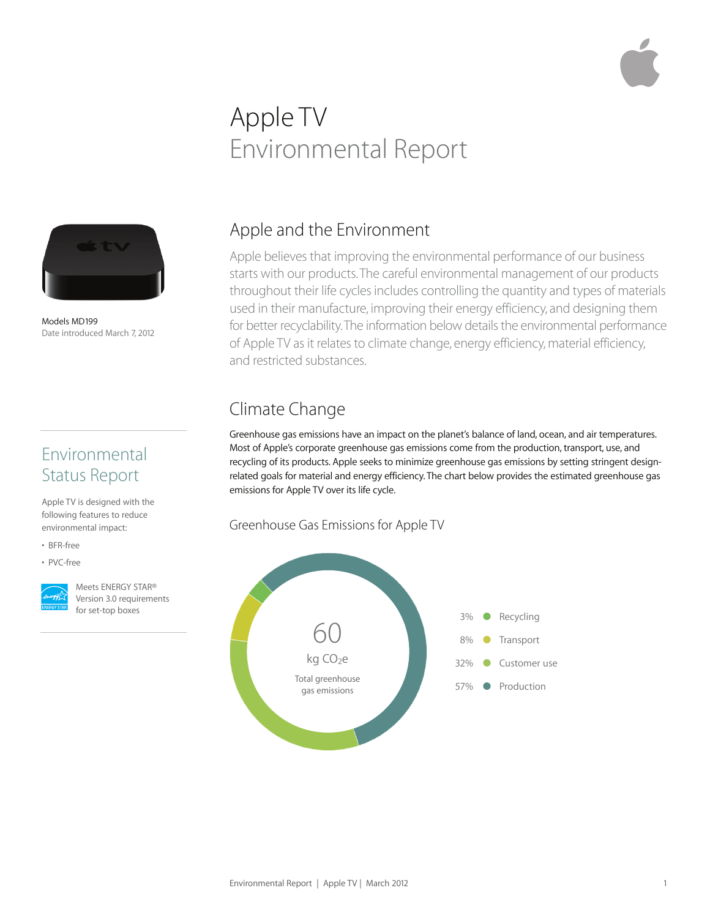# Apple TV Environmental Report



Models MD199 Date introduced March 7, 2012

# Environmental Status Report

Apple TV is designed with the following features to reduce environmental impact:

- BFR-free
- PVC-free



Meets ENERGY STAR® Version 3.0 requirements for set-top boxes

# Apple and the Environment

Apple believes that improving the environmental performance of our business starts with our products. The careful environmental management of our products throughout their life cycles includes controlling the quantity and types of materials used in their manufacture, improving their energy efficiency, and designing them for better recyclability. The information below details the environmental performance of Apple TV as it relates to climate change, energy efficiency, material efficiency, and restricted substances.

# Climate Change

Greenhouse gas emissions have an impact on the planet's balance of land, ocean, and air temperatures. Most of Apple's corporate greenhouse gas emissions come from the production, transport, use, and recycling of its products. Apple seeks to minimize greenhouse gas emissions by setting stringent designrelated goals for material and energy efficiency. The chart below provides the estimated greenhouse gas emissions for Apple TV over its life cycle.

#### Greenhouse Gas Emissions for Apple TV

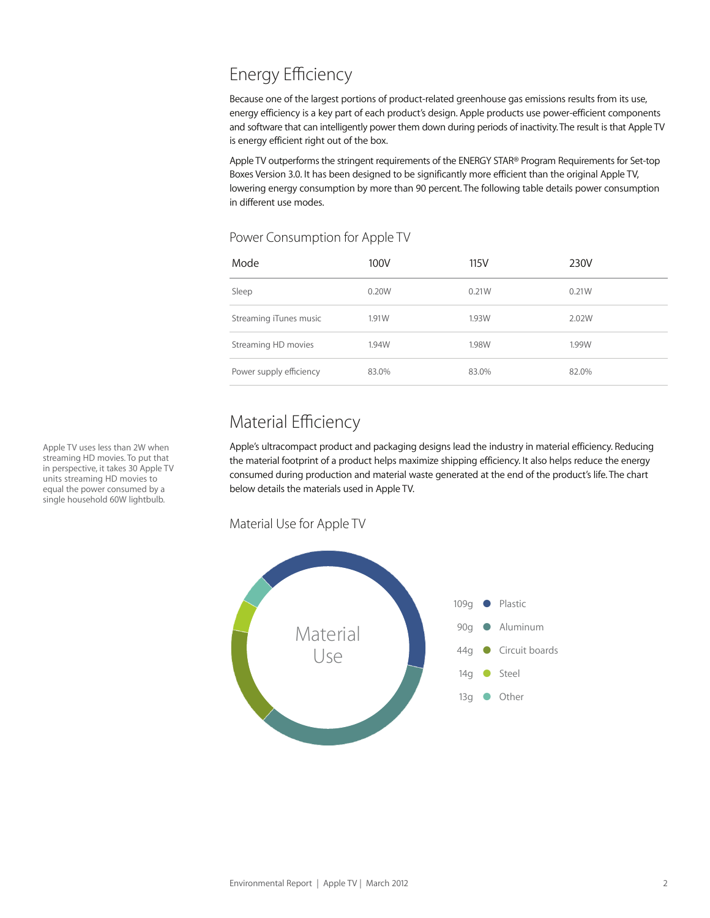# Energy Efficiency

Because one of the largest portions of product-related greenhouse gas emissions results from its use, energy efficiency is a key part of each product's design. Apple products use power-efficient components and software that can intelligently power them down during periods of inactivity. The result is that Apple TV is energy efficient right out of the box.

Apple TV outperforms the stringent requirements of the ENERGY STAR® Program Requirements for Set-top Boxes Version 3.0. It has been designed to be significantly more efficient than the original Apple TV, lowering energy consumption by more than 90 percent. The following table details power consumption in different use modes.

#### Power Consumption for Apple TV

| Mode                    | 100V  | 115V  | 230V  |
|-------------------------|-------|-------|-------|
| Sleep                   | 0.20W | 0.21W | 0.21W |
| Streaming iTunes music  | 1.91W | 1.93W | 2.02W |
| Streaming HD movies     | 1.94W | 1.98W | 1.99W |
| Power supply efficiency | 83.0% | 83.0% | 82.0% |

# Material Efficiency

Apple's ultracompact product and packaging designs lead the industry in material efficiency. Reducing the material footprint of a product helps maximize shipping efficiency. It also helps reduce the energy consumed during production and material waste generated at the end of the product's life. The chart below details the materials used in Apple TV.

Material Use for Apple TV



Apple TV uses less than 2W when streaming HD movies. To put that in perspective, it takes 30 Apple TV units streaming HD movies to equal the power consumed by a single household 60W lightbulb.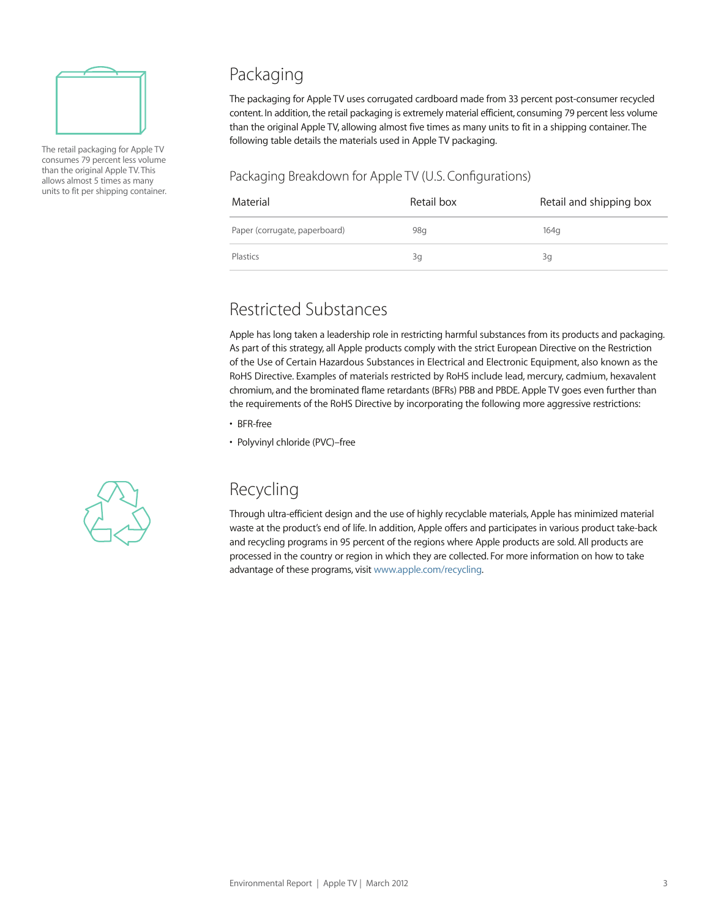

The retail packaging for Apple TV consumes 79 percent less volume than the original Apple TV. This allows almost 5 times as many units to fit per shipping container.

### Packaging

The packaging for Apple TV uses corrugated cardboard made from 33 percent post-consumer recycled content. In addition, the retail packaging is extremely material efficient, consuming 79 percent less volume than the original Apple TV, allowing almost five times as many units to fit in a shipping container. The following table details the materials used in Apple TV packaging.

#### Packaging Breakdown for Apple TV (U.S. Configurations)

| Material                      | Retail box | Retail and shipping box |
|-------------------------------|------------|-------------------------|
| Paper (corrugate, paperboard) | 98q        | 164 <sub>q</sub>        |
| Plastics                      | 3g         | 3g                      |

# Restricted Substances

Apple has long taken a leadership role in restricting harmful substances from its products and packaging. As part of this strategy, all Apple products comply with the strict European Directive on the Restriction of the Use of Certain Hazardous Substances in Electrical and Electronic Equipment, also known as the RoHS Directive. Examples of materials restricted by RoHS include lead, mercury, cadmium, hexavalent chromium, and the brominated flame retardants (BFRs) PBB and PBDE. Apple TV goes even further than the requirements of the RoHS Directive by incorporating the following more aggressive restrictions:

• BFR-free

• Polyvinyl chloride (PVC)–free



# Recycling

Through ultra-efficient design and the use of highly recyclable materials, Apple has minimized material waste at the product's end of life. In addition, Apple offers and participates in various product take-back and recycling programs in 95 percent of the regions where Apple products are sold. All products are processed in the country or region in which they are collected. For more information on how to take advantage of these programs, visit www.apple.com/recycling.